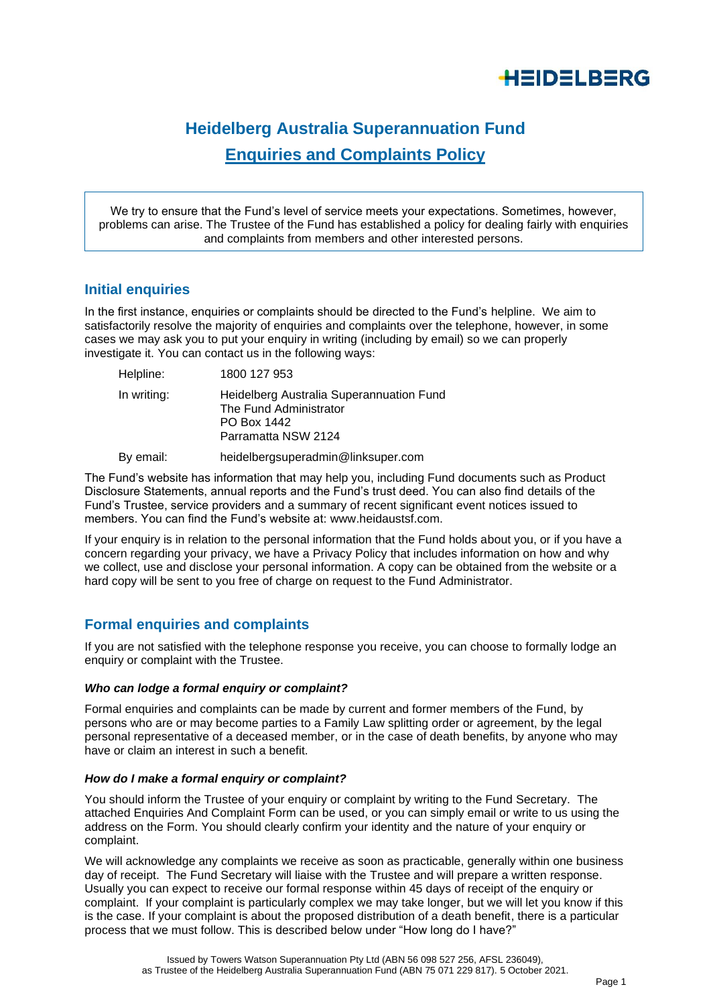

# **Heidelberg Australia Superannuation Fund Enquiries and Complaints Policy**

We try to ensure that the Fund's level of service meets your expectations. Sometimes, however, problems can arise. The Trustee of the Fund has established a policy for dealing fairly with enquiries and complaints from members and other interested persons.

### **Initial enquiries**

In the first instance, enquiries or complaints should be directed to the Fund's helpline. We aim to satisfactorily resolve the majority of enquiries and complaints over the telephone, however, in some cases we may ask you to put your enquiry in writing (including by email) so we can properly investigate it. You can contact us in the following ways:

| Helpline:   | 1800 127 953                                                                                             |
|-------------|----------------------------------------------------------------------------------------------------------|
| In writing: | Heidelberg Australia Superannuation Fund<br>The Fund Administrator<br>PO Box 1442<br>Parramatta NSW 2124 |
| By email:   | heidelbergsuperadmin@linksuper.com                                                                       |

The Fund's website has information that may help you, including Fund documents such as Product Disclosure Statements, annual reports and the Fund's trust deed. You can also find details of the Fund's Trustee, service providers and a summary of recent significant event notices issued to members. You can find the Fund's website at: www.heidaustsf.com.

If your enquiry is in relation to the personal information that the Fund holds about you, or if you have a concern regarding your privacy, we have a Privacy Policy that includes information on how and why we collect, use and disclose your personal information. A copy can be obtained from the website or a hard copy will be sent to you free of charge on request to the Fund Administrator.

### **Formal enquiries and complaints**

If you are not satisfied with the telephone response you receive, you can choose to formally lodge an enquiry or complaint with the Trustee.

### *Who can lodge a formal enquiry or complaint?*

Formal enquiries and complaints can be made by current and former members of the Fund, by persons who are or may become parties to a Family Law splitting order or agreement, by the legal personal representative of a deceased member, or in the case of death benefits, by anyone who may have or claim an interest in such a benefit.

### *How do I make a formal enquiry or complaint?*

You should inform the Trustee of your enquiry or complaint by writing to the Fund Secretary. The attached Enquiries And Complaint Form can be used, or you can simply email or write to us using the address on the Form. You should clearly confirm your identity and the nature of your enquiry or complaint.

We will acknowledge any complaints we receive as soon as practicable, generally within one business day of receipt. The Fund Secretary will liaise with the Trustee and will prepare a written response. Usually you can expect to receive our formal response within 45 days of receipt of the enquiry or complaint. If your complaint is particularly complex we may take longer, but we will let you know if this is the case. If your complaint is about the proposed distribution of a death benefit, there is a particular process that we must follow. This is described below under "How long do I have?"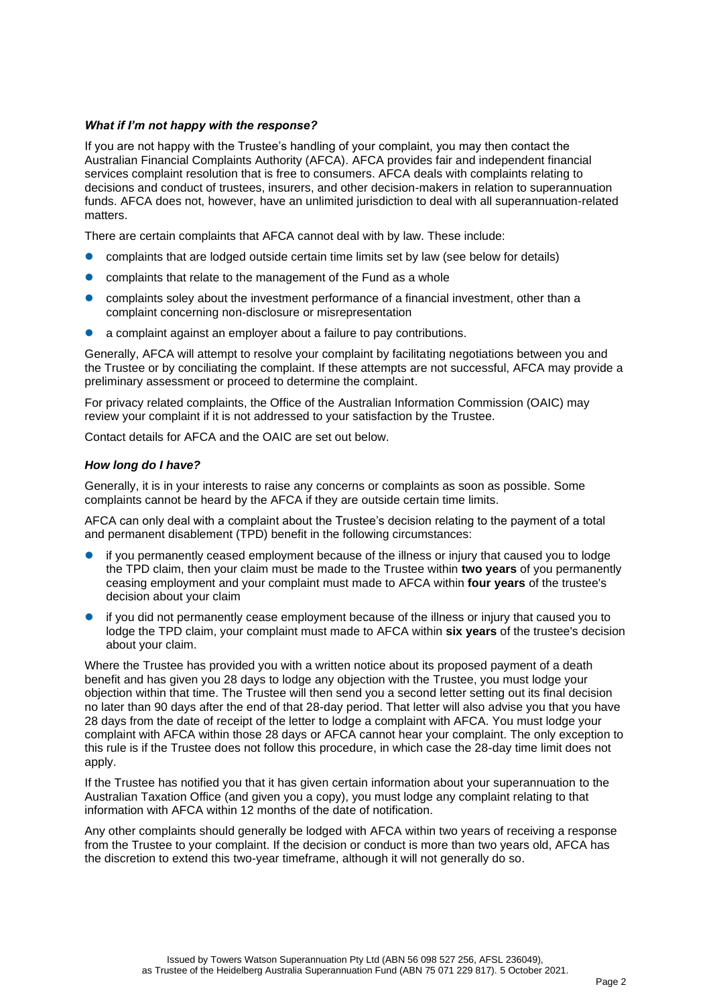### *What if I'm not happy with the response?*

If you are not happy with the Trustee's handling of your complaint, you may then contact the Australian Financial Complaints Authority (AFCA). AFCA provides fair and independent financial services complaint resolution that is free to consumers. AFCA deals with complaints relating to decisions and conduct of trustees, insurers, and other decision-makers in relation to superannuation funds. AFCA does not, however, have an unlimited jurisdiction to deal with all superannuation-related matters.

There are certain complaints that AFCA cannot deal with by law. These include:

- ⚫ complaints that are lodged outside certain time limits set by law (see below for details)
- ⚫ complaints that relate to the management of the Fund as a whole
- ⚫ complaints soley about the investment performance of a financial investment, other than a complaint concerning non-disclosure or misrepresentation
- ⚫ a complaint against an employer about a failure to pay contributions.

Generally, AFCA will attempt to resolve your complaint by facilitating negotiations between you and the Trustee or by conciliating the complaint. If these attempts are not successful, AFCA may provide a preliminary assessment or proceed to determine the complaint.

For privacy related complaints, the Office of the Australian Information Commission (OAIC) may review your complaint if it is not addressed to your satisfaction by the Trustee.

Contact details for AFCA and the OAIC are set out below.

#### *How long do I have?*

Generally, it is in your interests to raise any concerns or complaints as soon as possible. Some complaints cannot be heard by the AFCA if they are outside certain time limits.

AFCA can only deal with a complaint about the Trustee's decision relating to the payment of a total and permanent disablement (TPD) benefit in the following circumstances:

- ⚫ if you permanently ceased employment because of the illness or injury that caused you to lodge the TPD claim, then your claim must be made to the Trustee within **two years** of you permanently ceasing employment and your complaint must made to AFCA within **four years** of the trustee's decision about your claim
- ⚫ if you did not permanently cease employment because of the illness or injury that caused you to lodge the TPD claim, your complaint must made to AFCA within **six years** of the trustee's decision about your claim.

Where the Trustee has provided you with a written notice about its proposed payment of a death benefit and has given you 28 days to lodge any objection with the Trustee, you must lodge your objection within that time. The Trustee will then send you a second letter setting out its final decision no later than 90 days after the end of that 28-day period. That letter will also advise you that you have 28 days from the date of receipt of the letter to lodge a complaint with AFCA. You must lodge your complaint with AFCA within those 28 days or AFCA cannot hear your complaint. The only exception to this rule is if the Trustee does not follow this procedure, in which case the 28-day time limit does not apply.

If the Trustee has notified you that it has given certain information about your superannuation to the Australian Taxation Office (and given you a copy), you must lodge any complaint relating to that information with AFCA within 12 months of the date of notification.

Any other complaints should generally be lodged with AFCA within two years of receiving a response from the Trustee to your complaint. If the decision or conduct is more than two years old, AFCA has the discretion to extend this two-year timeframe, although it will not generally do so.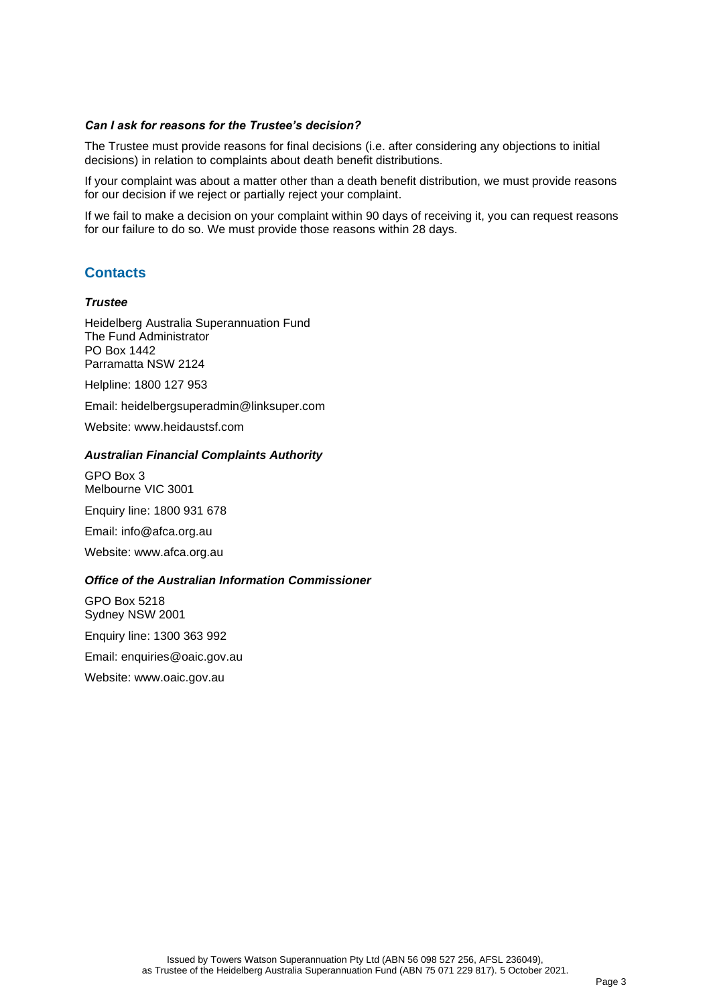### *Can I ask for reasons for the Trustee's decision?*

The Trustee must provide reasons for final decisions (i.e. after considering any objections to initial decisions) in relation to complaints about death benefit distributions.

If your complaint was about a matter other than a death benefit distribution, we must provide reasons for our decision if we reject or partially reject your complaint.

If we fail to make a decision on your complaint within 90 days of receiving it, you can request reasons for our failure to do so. We must provide those reasons within 28 days.

### **Contacts**

### *Trustee*

Heidelberg Australia Superannuation Fund The Fund Administrator PO Box 1442 Parramatta NSW 2124

Helpline: 1800 127 953

Email: heidelbergsuperadmin@linksuper.com

Website: www.heidaustsf.com

### *Australian Financial Complaints Authority*

GPO Box 3 Melbourne VIC 3001 Enquiry line: 1800 931 678 Email: info@afca.org.au Website: www.afca.org.au

### *Office of the Australian Information Commissioner*

GPO Box 5218 Sydney NSW 2001 Enquiry line: 1300 363 992 Email: enquiries@oaic.gov.au

Website: www.oaic.gov.au